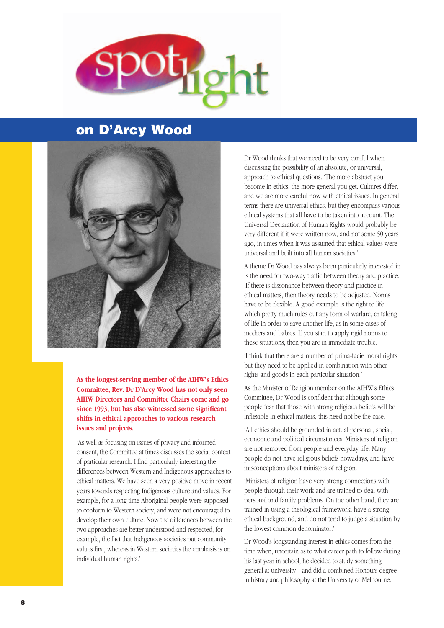

### **on D'Arcy Wood**



**As the longest-serving member of the AIHW's Ethics Committee, Rev. Dr D'Arcy Wood has not only seen AIHW Directors and Committee Chairs come and go since 1993, but has also witnessed some significant shifts in ethical approaches to various research issues and projects.**

'As well as focusing on issues of privacy and informed consent, the Committee at times discusses the social context of particular research. I find particularly interesting the differences between Western and Indigenous approaches to ethical matters. We have seen a very positive move in recent years towards respecting Indigenous culture and values. For example, for a long time Aboriginal people were supposed to conform to Western society, and were not encouraged to develop their own culture. Now the differences between the two approaches are better understood and respected, for example, the fact that Indigenous societies put community values first, whereas in Western societies the emphasis is on individual human rights.'

Dr Wood thinks that we need to be very careful when discussing the possibility of an absolute, or universal, approach to ethical questions. 'The more abstract you become in ethics, the more general you get. Cultures differ, and we are more careful now with ethical issues. In general terms there are universal ethics, but they encompass various ethical systems that all have to be taken into account. The Universal Declaration of Human Rights would probably be very different if it were written now, and not some 50 years ago, in times when it was assumed that ethical values were universal and built into all human societies.'

A theme Dr Wood has always been particularly interested in is the need for two-way traffic between theory and practice. 'If there is dissonance between theory and practice in ethical matters, then theory needs to be adjusted. Norms have to be flexible. A good example is the right to life, which pretty much rules out any form of warfare, or taking of life in order to save another life, as in some cases of mothers and babies. If you start to apply rigid norms to these situations, then you are in immediate trouble.

'I think that there are a number of prima-facie moral rights, but they need to be applied in combination with other rights and goods in each particular situation.'

As the Minister of Religion member on the AIHW's Ethics Committee, Dr Wood is confident that although some people fear that those with strong religious beliefs will be inflexible in ethical matters, this need not be the case.

'All ethics should be grounded in actual personal, social, economic and political circumstances. Ministers of religion are not removed from people and everyday life. Many people do not have religious beliefs nowadays, and have misconceptions about ministers of religion.

'Ministers of religion have very strong connections with people through their work and are trained to deal with personal and family problems. On the other hand, they are trained in using a theological framework, have a strong ethical background, and do not tend to judge a situation by the lowest common denominator.'

Dr Wood's longstanding interest in ethics comes from the time when, uncertain as to what career path to follow during his last year in school, he decided to study something general at university—and did a combined Honours degree in history and philosophy at the University of Melbourne.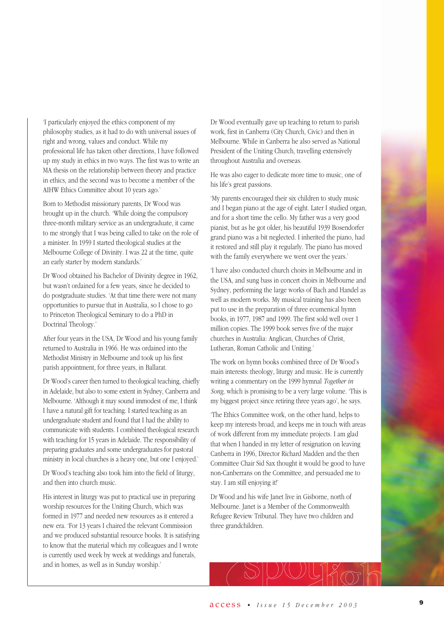'I particularly enjoyed the ethics component of my philosophy studies, as it had to do with universal issues of right and wrong, values and conduct. While my professional life has taken other directions, I have followed up my study in ethics in two ways. The first was to write an MA thesis on the relationship between theory and practice in ethics, and the second was to become a member of the AIHW Ethics Committee about 10 years ago.'

Born to Methodist missionary parents, Dr Wood was brought up in the church. 'While doing the compulsory three-month military service as an undergraduate, it came to me strongly that I was being called to take on the role of a minister. In 1959 I started theological studies at the Melbourne College of Divinity. I was 22 at the time, quite an early starter by modern standards.'

Dr Wood obtained his Bachelor of Divinity degree in 1962, but wasn't ordained for a few years, since he decided to do postgraduate studies. 'At that time there were not many opportunities to pursue that in Australia, so I chose to go to Princeton Theological Seminary to do a PhD in Doctrinal Theology.'

After four years in the USA, Dr Wood and his young family returned to Australia in 1966. He was ordained into the Methodist Ministry in Melbourne and took up his first parish appointment, for three years, in Ballarat.

Dr Wood's career then turned to theological teaching, chiefly in Adelaide, but also to some extent in Sydney, Canberra and Melbourne. 'Although it may sound immodest of me, I think I have a natural gift for teaching. I started teaching as an undergraduate student and found that I had the ability to communicate with students. I combined theological research with teaching for 15 years in Adelaide. The responsibility of preparing graduates and some undergraduates for pastoral ministry in local churches is a heavy one, but one I enjoyed.'

Dr Wood's teaching also took him into the field of liturgy, and then into church music.

His interest in liturgy was put to practical use in preparing worship resources for the Uniting Church, which was formed in 1977 and needed new resources as it entered a new era. 'For 13 years I chaired the relevant Commission and we produced substantial resource books. It is satisfying to know that the material which my colleagues and I wrote is currently used week by week at weddings and funerals, and in homes, as well as in Sunday worship.'

Dr Wood eventually gave up teaching to return to parish work, first in Canberra (City Church, Civic) and then in Melbourne. While in Canberra he also served as National President of the Uniting Church, travelling extensively throughout Australia and overseas.

He was also eager to dedicate more time to music, one of his life's great passions.

'My parents encouraged their six children to study music and I began piano at the age of eight. Later I studied organ, and for a short time the cello. My father was a very good pianist, but as he got older, his beautiful 1939 Bosendorfer grand piano was a bit neglected. I inherited the piano, had it restored and still play it regularly. The piano has moved with the family everywhere we went over the years.'

'I have also conducted church choirs in Melbourne and in the USA, and sung bass in concert choirs in Melbourne and Sydney, performing the large works of Bach and Handel as well as modern works. My musical training has also been put to use in the preparation of three ecumenical hymn books, in 1977, 1987 and 1999. The first sold well over 1 million copies. The 1999 book serves five of the major churches in Australia: Anglican, Churches of Christ, Lutheran, Roman Catholic and Uniting.'

The work on hymn books combined three of Dr Wood's main interests: theology, liturgy and music. He is currently writing a commentary on the 1999 hymnal *Together in Song,* which is promising to be a very large volume. 'This is my biggest project since retiring three years ago', he says.

'The Ethics Committee work, on the other hand, helps to keep my interests broad, and keeps me in touch with areas of work different from my immediate projects. I am glad that when I handed in my letter of resignation on leaving Canberra in 1996, Director Richard Madden and the then Committee Chair Sid Sax thought it would be good to have non-Canberrans on the Committee, and persuaded me to stay. I am still enjoying it!'

Dr Wood and his wife Janet live in Gisborne, north of Melbourne. Janet is a Member of the Commonwealth Refugee Review Tribunal. They have two children and three grandchildren.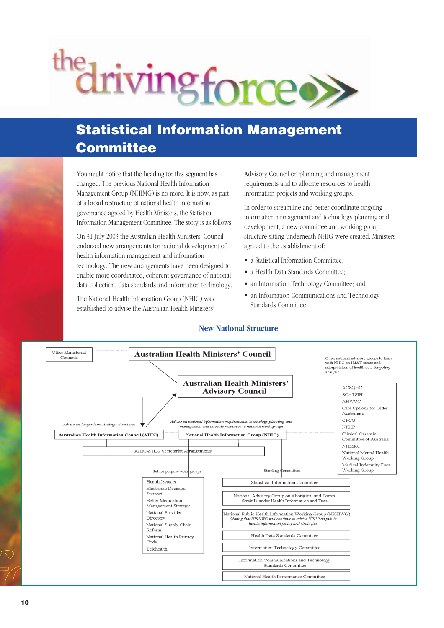# the driving force.

# **Statistical Information Management Committee**

You might notice that the heading for this segment has changed. The previous National Health Information Management Group (NHIMG) is no more. It is now, as part of a broad restructure of national health information governance agreed by Health Ministers, the Statistical Information Management Committee. The story is as follows:

On 31 July 2003 the Australian Health Ministers' Council endorsed new arrangements for national development of health information management and information technology. The new arrangements have been designed to enable more coordinated, coherent governance of national data collection, data standards and information technology.

The National Health Information Group (NHIG) was established to advise the Australian Health Ministers'

Advisory Council on planning and management requirements and to allocate resources to health information projects and working groups.

In order to streamline and better coordinate ongoing information management and technology planning and development, a new committee and working group structure sitting underneath NHIG were created. Ministers agreed to the establishment of:

- a Statistical Information Committee;
- a Health Data Standards Committee;
- an Information Technology Committee; and
- an Information Communications and Technology Standards Committee.

#### **New National Structure**